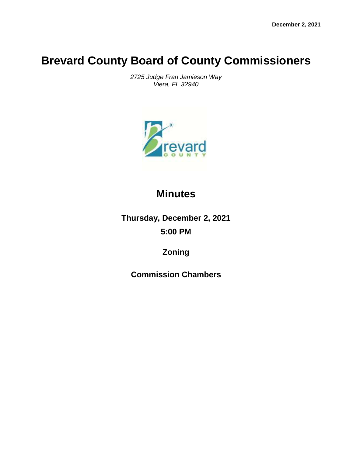# **Brevard County Board of County Commissioners**

*2725 Judge Fran Jamieson Way Viera, FL 32940*



# **Minutes**

**Thursday, December 2, 2021 5:00 PM**

**Zoning**

**Commission Chambers**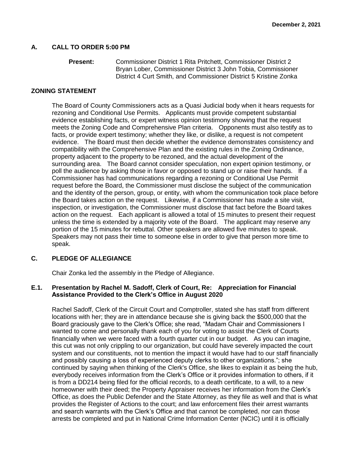# **A. CALL TO ORDER 5:00 PM**

```
Present: Commissioner District 1 Rita Pritchett, Commissioner District 2 
    Bryan Lober, Commissioner District 3 John Tobia, Commissioner 
    District 4 Curt Smith, and Commissioner District 5 Kristine Zonka
```
# **ZONING STATEMENT**

The Board of County Commissioners acts as a Quasi Judicial body when it hears requests for rezoning and Conditional Use Permits. Applicants must provide competent substantial evidence establishing facts, or expert witness opinion testimony showing that the request meets the Zoning Code and Comprehensive Plan criteria. Opponents must also testify as to facts, or provide expert testimony; whether they like, or dislike, a request is not competent evidence. The Board must then decide whether the evidence demonstrates consistency and compatibility with the Comprehensive Plan and the existing rules in the Zoning Ordinance, property adjacent to the property to be rezoned, and the actual development of the surrounding area. The Board cannot consider speculation, non expert opinion testimony, or poll the audience by asking those in favor or opposed to stand up or raise their hands. If a Commissioner has had communications regarding a rezoning or Conditional Use Permit request before the Board, the Commissioner must disclose the subject of the communication and the identity of the person, group, or entity, with whom the communication took place before the Board takes action on the request. Likewise, if a Commissioner has made a site visit, inspection, or investigation, the Commissioner must disclose that fact before the Board takes action on the request. Each applicant is allowed a total of 15 minutes to present their request unless the time is extended by a majority vote of the Board. The applicant may reserve any portion of the 15 minutes for rebuttal. Other speakers are allowed five minutes to speak. Speakers may not pass their time to someone else in order to give that person more time to speak.

# **C. PLEDGE OF ALLEGIANCE**

Chair Zonka led the assembly in the Pledge of Allegiance.

# **E.1. Presentation by Rachel M. Sadoff, Clerk of Court, Re: Appreciation for Financial Assistance Provided to the Clerk's Office in August 2020**

Rachel Sadoff, Clerk of the Circuit Court and Comptroller, stated she has staff from different locations with her; they are in attendance because she is giving back the \$500,000 that the Board graciously gave to the Clerk's Office; she read, "Madam Chair and Commissioners I wanted to come and personally thank each of you for voting to assist the Clerk of Courts financially when we were faced with a fourth quarter cut in our budget. As you can imagine, this cut was not only crippling to our organization, but could have severely impacted the court system and our constituents, not to mention the impact it would have had to our staff financially and possibly causing a loss of experienced deputy clerks to other organizations."; she continued by saying when thinking of the Clerk's Office, she likes to explain it as being the hub, everybody receives information from the Clerk's Office or it provides information to others, if it is from a DD214 being filed for the official records, to a death certificate, to a will, to a new homeowner with their deed; the Property Appraiser receives her information from the Clerk's Office, as does the Public Defender and the State Attorney, as they file as well and that is what provides the Register of Actions to the court; and law enforcement files their arrest warrants and search warrants with the Clerk's Office and that cannot be completed, nor can those arrests be completed and put in National Crime Information Center (NCIC) until it is officially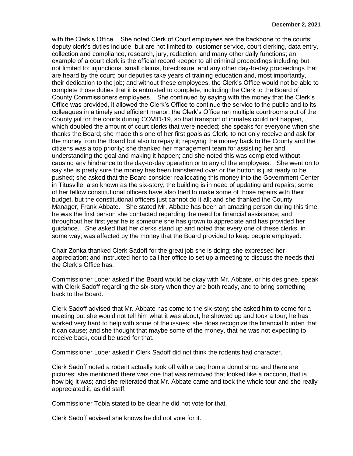with the Clerk's Office. She noted Clerk of Court employees are the backbone to the courts; deputy clerk's duties include, but are not limited to: customer service, court clerking, data entry, collection and compliance, research, jury, redaction, and many other daily functions; an example of a court clerk is the official record keeper to all criminal proceedings including but not limited to: injunctions, small claims, foreclosure, and any other day-to-day proceedings that are heard by the court; our deputies take years of training education and, most importantly, their dedication to the job; and without these employees, the Clerk's Office would not be able to complete those duties that it is entrusted to complete, including the Clerk to the Board of County Commissioners employees. She continued by saying with the money that the Clerk's Office was provided, it allowed the Clerk's Office to continue the service to the public and to its colleagues in a timely and efficient manor; the Clerk's Office ran multiple courtrooms out of the County jail for the courts during COVID-19, so that transport of inmates could not happen, which doubled the amount of court clerks that were needed; she speaks for everyone when she thanks the Board; she made this one of her first goals as Clerk, to not only receive and ask for the money from the Board but also to repay it; repaying the money back to the County and the citizens was a top priority; she thanked her management team for assisting her and understanding the goal and making it happen; and she noted this was completed without causing any hindrance to the day-to-day operation or to any of the employees. She went on to say she is pretty sure the money has been transferred over or the button is just ready to be pushed; she asked that the Board consider reallocating this money into the Government Center in Titusville, also known as the six-story; the building is in need of updating and repairs; some of her fellow constitutional officers have also tried to make some of those repairs with their budget, but the constitutional officers just cannot do it all; and she thanked the County Manager, Frank Abbate. She stated Mr. Abbate has been an amazing person during this time; he was the first person she contacted regarding the need for financial assistance; and throughout her first year he is someone she has grown to appreciate and has provided her guidance. She asked that her clerks stand up and noted that every one of these clerks, in some way, was affected by the money that the Board provided to keep people employed.

Chair Zonka thanked Clerk Sadoff for the great job she is doing; she expressed her appreciation; and instructed her to call her office to set up a meeting to discuss the needs that the Clerk's Office has.

Commissioner Lober asked if the Board would be okay with Mr. Abbate, or his designee, speak with Clerk Sadoff regarding the six-story when they are both ready, and to bring something back to the Board.

Clerk Sadoff advised that Mr. Abbate has come to the six-story; she asked him to come for a meeting but she would not tell him what it was about; he showed up and took a tour; he has worked very hard to help with some of the issues; she does recognize the financial burden that it can cause; and she thought that maybe some of the money, that he was not expecting to receive back, could be used for that.

Commissioner Lober asked if Clerk Sadoff did not think the rodents had character.

Clerk Sadoff noted a rodent actually took off with a bag from a donut shop and there are pictures; she mentioned there was one that was removed that looked like a raccoon, that is how big it was; and she reiterated that Mr. Abbate came and took the whole tour and she really appreciated it, as did staff.

Commissioner Tobia stated to be clear he did not vote for that.

Clerk Sadoff advised she knows he did not vote for it.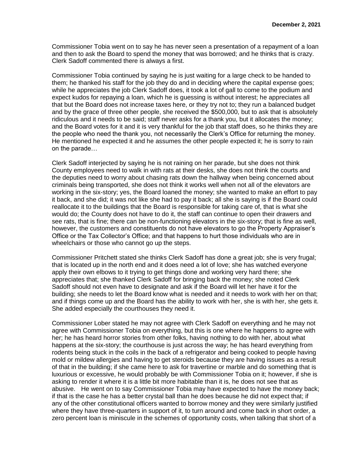Commissioner Tobia went on to say he has never seen a presentation of a repayment of a loan and then to ask the Board to spend the money that was borrowed; and he thinks that is crazy. Clerk Sadoff commented there is always a first.

Commissioner Tobia continued by saying he is just waiting for a large check to be handed to them; he thanked his staff for the job they do and in deciding where the capital expense goes; while he appreciates the job Clerk Sadoff does, it took a lot of gall to come to the podium and expect kudos for repaying a loan, which he is guessing is without interest; he appreciates all that but the Board does not increase taxes here, or they try not to; they run a balanced budget and by the grace of three other people, she received the \$500,000, but to ask that is absolutely ridiculous and it needs to be said; staff never asks for a thank you, but it allocates the money; and the Board votes for it and it is very thankful for the job that staff does, so he thinks they are the people who need the thank you, not necessarily the Clerk's Office for returning the money. He mentioned he expected it and he assumes the other people expected it; he is sorry to rain on the parade…

Clerk Sadoff interjected by saying he is not raining on her parade, but she does not think County employees need to walk in with rats at their desks, she does not think the courts and the deputies need to worry about chasing rats down the hallway when being concerned about criminals being transported, she does not think it works well when not all of the elevators are working in the six-story; yes, the Board loaned the money; she wanted to make an effort to pay it back, and she did; it was not like she had to pay it back; all she is saying is if the Board could reallocate it to the buildings that the Board is responsible for taking care of, that is what she would do; the County does not have to do it, the staff can continue to open their drawers and see rats, that is fine; there can be non-functioning elevators in the six-story; that is fine as well, however, the customers and constituents do not have elevators to go the Property Appraiser's Office or the Tax Collector's Office; and that happens to hurt those individuals who are in wheelchairs or those who cannot go up the steps.

Commissioner Pritchett stated she thinks Clerk Sadoff has done a great job; she is very frugal; that is located up in the north end and it does need a lot of love; she has watched everyone apply their own elbows to it trying to get things done and working very hard there; she appreciates that; she thanked Clerk Sadoff for bringing back the money; she noted Clerk Sadoff should not even have to designate and ask if the Board will let her have it for the building; she needs to let the Board know what is needed and it needs to work with her on that; and if things come up and the Board has the ability to work with her, she is with her, she gets it. She added especially the courthouses they need it.

Commissioner Lober stated he may not agree with Clerk Sadoff on everything and he may not agree with Commissioner Tobia on everything, but this is one where he happens to agree with her; he has heard horror stories from other folks, having nothing to do with her, about what happens at the six-story; the courthouse is just across the way; he has heard everything from rodents being stuck in the coils in the back of a refrigerator and being cooked to people having mold or mildew allergies and having to get steroids because they are having issues as a result of that in the building; if she came here to ask for travertine or marble and do something that is luxurious or excessive, he would probably be with Commissioner Tobia on it; however, if she is asking to render it where it is a little bit more habitable than it is, he does not see that as abusive. He went on to say Commissioner Tobia may have expected to have the money back; if that is the case he has a better crystal ball than he does because he did not expect that; if any of the other constitutional officers wanted to borrow money and they were similarly justified where they have three-quarters in support of it, to turn around and come back in short order, a zero percent loan is miniscule in the schemes of opportunity costs, when talking that short of a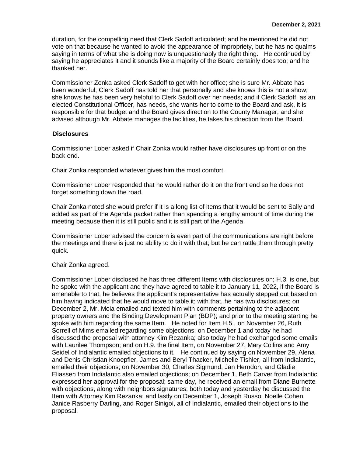duration, for the compelling need that Clerk Sadoff articulated; and he mentioned he did not vote on that because he wanted to avoid the appearance of impropriety, but he has no qualms saying in terms of what she is doing now is unquestionably the right thing. He continued by saying he appreciates it and it sounds like a majority of the Board certainly does too; and he thanked her.

Commissioner Zonka asked Clerk Sadoff to get with her office; she is sure Mr. Abbate has been wonderful; Clerk Sadoff has told her that personally and she knows this is not a show; she knows he has been very helpful to Clerk Sadoff over her needs; and if Clerk Sadoff, as an elected Constitutional Officer, has needs, she wants her to come to the Board and ask, it is responsible for that budget and the Board gives direction to the County Manager; and she advised although Mr. Abbate manages the facilities, he takes his direction from the Board.

#### **Disclosures**

Commissioner Lober asked if Chair Zonka would rather have disclosures up front or on the back end.

Chair Zonka responded whatever gives him the most comfort.

Commissioner Lober responded that he would rather do it on the front end so he does not forget something down the road.

Chair Zonka noted she would prefer if it is a long list of items that it would be sent to Sally and added as part of the Agenda packet rather than spending a lengthy amount of time during the meeting because then it is still public and it is still part of the Agenda.

Commissioner Lober advised the concern is even part of the communications are right before the meetings and there is just no ability to do it with that; but he can rattle them through pretty quick.

# Chair Zonka agreed.

Commissioner Lober disclosed he has three different Items with disclosures on; H.3. is one, but he spoke with the applicant and they have agreed to table it to January 11, 2022, if the Board is amenable to that; he believes the applicant's representative has actually stepped out based on him having indicated that he would move to table it; with that, he has two disclosures; on December 2, Mr. Moia emailed and texted him with comments pertaining to the adjacent property owners and the Binding Development Plan (BDP); and prior to the meeting starting he spoke with him regarding the same Item. He noted for Item H.5., on November 26, Ruth Sorrell of Mims emailed regarding some objections; on December 1 and today he had discussed the proposal with attorney Kim Rezanka; also today he had exchanged some emails with Laurilee Thompson; and on H.9. the final Item, on November 27, Mary Collins and Amy Seidel of Indialantic emailed objections to it. He continued by saying on November 29, Alena and Denis Christian Knoepfler, James and Beryl Thacker, Michelle Tishler, all from Indialantic, emailed their objections; on November 30, Charles Sigmund, Jan Herndon, and Gladie Eliassen from Indialantic also emailed objections; on December 1, Beth Carver from Indialantic expressed her approval for the proposal; same day, he received an email from Diane Burnette with objections, along with neighbors signatures; both today and yesterday he discussed the Item with Attorney Kim Rezanka; and lastly on December 1, Joseph Russo, Noelle Cohen, Janice Rasberry Darling, and Roger Sinigoi, all of Indialantic, emailed their objections to the proposal.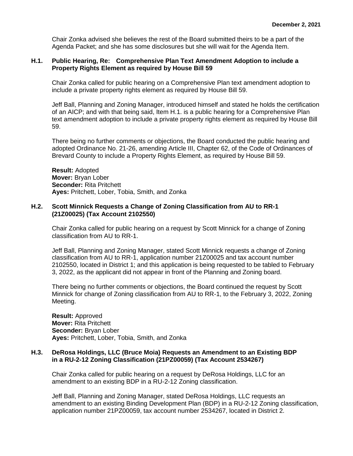Chair Zonka advised she believes the rest of the Board submitted theirs to be a part of the Agenda Packet; and she has some disclosures but she will wait for the Agenda Item.

# **H.1. Public Hearing, Re: Comprehensive Plan Text Amendment Adoption to include a Property Rights Element as required by House Bill 59**

Chair Zonka called for public hearing on a Comprehensive Plan text amendment adoption to include a private property rights element as required by House Bill 59.

Jeff Ball, Planning and Zoning Manager, introduced himself and stated he holds the certification of an AICP; and with that being said, Item H.1. is a public hearing for a Comprehensive Plan text amendment adoption to include a private property rights element as required by House Bill 59.

There being no further comments or objections, the Board conducted the public hearing and adopted Ordinance No. 21-26, amending Article III, Chapter 62, of the Code of Ordinances of Brevard County to include a Property Rights Element, as required by House Bill 59.

**Result:** Adopted **Mover:** Bryan Lober **Seconder:** Rita Pritchett **Ayes:** Pritchett, Lober, Tobia, Smith, and Zonka

# **H.2. Scott Minnick Requests a Change of Zoning Classification from AU to RR-1 (21Z00025) (Tax Account 2102550)**

Chair Zonka called for public hearing on a request by Scott Minnick for a change of Zoning classification from AU to RR-1.

Jeff Ball, Planning and Zoning Manager, stated Scott Minnick requests a change of Zoning classification from AU to RR-1, application number 21Z00025 and tax account number 2102550, located in District 1; and this application is being requested to be tabled to February 3, 2022, as the applicant did not appear in front of the Planning and Zoning board.

There being no further comments or objections, the Board continued the request by Scott Minnick for change of Zoning classification from AU to RR-1, to the February 3, 2022, Zoning Meeting.

**Result:** Approved **Mover:** Rita Pritchett **Seconder:** Bryan Lober **Ayes:** Pritchett, Lober, Tobia, Smith, and Zonka

# **H.3. DeRosa Holdings, LLC (Bruce Moia) Requests an Amendment to an Existing BDP in a RU-2-12 Zoning Classification (21PZ00059) (Tax Account 2534267)**

Chair Zonka called for public hearing on a request by DeRosa Holdings, LLC for an amendment to an existing BDP in a RU-2-12 Zoning classification.

Jeff Ball, Planning and Zoning Manager, stated DeRosa Holdings, LLC requests an amendment to an existing Binding Development Plan (BDP) in a RU-2-12 Zoning classification, application number 21PZ00059, tax account number 2534267, located in District 2.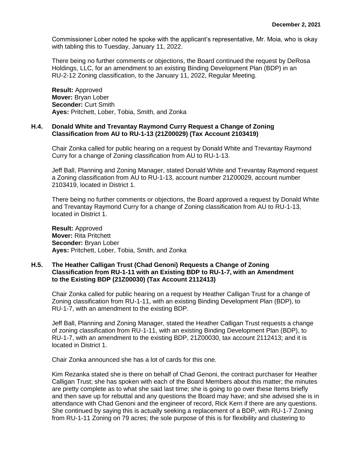Commissioner Lober noted he spoke with the applicant's representative, Mr. Moia, who is okay with tabling this to Tuesday, January 11, 2022.

There being no further comments or objections, the Board continued the request by DeRosa Holdings, LLC, for an amendment to an existing Binding Development Plan (BDP) in an RU-2-12 Zoning classification, to the January 11, 2022, Regular Meeting.

**Result:** Approved **Mover:** Bryan Lober **Seconder:** Curt Smith **Ayes:** Pritchett, Lober, Tobia, Smith, and Zonka

#### **H.4. Donald White and Trevantay Raymond Curry Request a Change of Zoning Classification from AU to RU-1-13 (21Z00029) (Tax Account 2103419)**

Chair Zonka called for public hearing on a request by Donald White and Trevantay Raymond Curry for a change of Zoning classification from AU to RU-1-13.

Jeff Ball, Planning and Zoning Manager, stated Donald White and Trevantay Raymond request a Zoning classification from AU to RU-1-13, account number 21Z00029, account number 2103419, located in District 1.

There being no further comments or objections, the Board approved a request by Donald White and Trevantay Raymond Curry for a change of Zoning classification from AU to RU-1-13, located in District 1.

**Result:** Approved **Mover:** Rita Pritchett **Seconder:** Bryan Lober **Ayes:** Pritchett, Lober, Tobia, Smith, and Zonka

# **H.5. The Heather Calligan Trust (Chad Genoni) Requests a Change of Zoning Classification from RU-1-11 with an Existing BDP to RU-1-7, with an Amendment to the Existing BDP (21Z00030) (Tax Account 2112413)**

Chair Zonka called for public hearing on a request by Heather Calligan Trust for a change of Zoning classification from RU-1-11, with an existing Binding Development Plan (BDP), to RU-1-7, with an amendment to the existing BDP.

Jeff Ball, Planning and Zoning Manager, stated the Heather Calligan Trust requests a change of zoning classification from RU-1-11, with an existing Binding Development Plan (BDP), to RU-1-7, with an amendment to the existing BDP, 21Z00030, tax account 2112413; and it is located in District 1.

Chair Zonka announced she has a lot of cards for this one.

Kim Rezanka stated she is there on behalf of Chad Genoni, the contract purchaser for Heather Calligan Trust; she has spoken with each of the Board Members about this matter; the minutes are pretty complete as to what she said last time; she is going to go over these Items briefly and then save up for rebuttal and any questions the Board may have; and she advised she is in attendance with Chad Genoni and the engineer of record, Rick Kern if there are any questions. She continued by saying this is actually seeking a replacement of a BDP, with RU-1-7 Zoning from RU-1-11 Zoning on 79 acres; the sole purpose of this is for flexibility and clustering to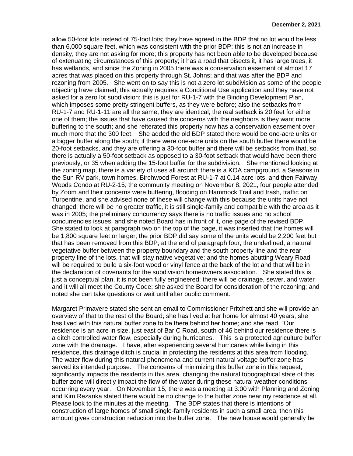allow 50-foot lots instead of 75-foot lots; they have agreed in the BDP that no lot would be less than 6,000 square feet, which was consistent with the prior BDP; this is not an increase in density, they are not asking for more; this property has not been able to be developed because of extenuating circumstances of this property; it has a road that bisects it, it has large trees, it has wetlands, and since the Zoning in 2005 there was a conservation easement of almost 17 acres that was placed on this property through St. Johns; and that was after the BDP and rezoning from 2005. She went on to say this is not a zero lot subdivision as some of the people objecting have claimed; this actually requires a Conditional Use application and they have not asked for a zero lot subdivision; this is just for RU-1-7 with the Binding Development Plan, which imposes some pretty stringent buffers, as they were before; also the setbacks from RU-1-7 and RU-1-11 are all the same, they are identical; the real setback is 20 feet for either one of them; the issues that have caused the concerns with the neighbors is they want more buffering to the south; and she reiterated this property now has a conservation easement over much more that the 300 feet. She added the old BDP stated there would be one-acre units or a bigger buffer along the south; if there were one-acre units on the south buffer there would be 20-foot setbacks, and they are offering a 30-foot buffer and there will be setbacks from that, so there is actually a 50-foot setback as opposed to a 30-foot setback that would have been there previously, or 35 when adding the 15-foot buffer for the subdivision. She mentioned looking at the zoning map, there is a variety of uses all around; there is a KOA campground, a Seasons in the Sun RV park, town homes, Birchwood Forest at RU-1-7 at 0.14 acre lots, and then Fairway Woods Condo at RU-2-15; the community meeting on November 8, 2021, four people attended by Zoom and their concerns were buffering, flooding on Hammock Trail and trash, traffic on Turpentine, and she advised none of these will change with this because the units have not changed; there will be no greater traffic, it is still single-family and compatible with the area as it was in 2005; the preliminary concurrency says there is no traffic issues and no school concurrencies issues; and she noted Board has in front of it, one page of the revised BDP. She stated to look at paragraph two on the top of the page, it was inserted that the homes will be 1,800 square feet or larger; the prior BDP did say some of the units would be 2,200 feet but that has been removed from this BDP; at the end of paragraph four, the underlined, a natural vegetative buffer between the property boundary and the south property line and the rear property line of the lots, that will stay native vegetative; and the homes abutting Weary Road will be required to build a six-foot wood or vinyl fence at the back of the lot and that will be in the declaration of covenants for the subdivision homeowners association. She stated this is just a conceptual plan, it is not been fully engineered; there will be drainage, sewer, and water and it will all meet the County Code; she asked the Board for consideration of the rezoning; and noted she can take questions or wait until after public comment.

Margaret Primavere stated she sent an email to Commissioner Pritchett and she will provide an overview of that to the rest of the Board; she has lived at her home for almost 40 years; she has lived with this natural buffer zone to be there behind her home; and she read, "Our residence is an acre in size, just east of Bar C Road, south of 46 behind our residence there is a ditch controlled water flow, especially during hurricanes. This is a protected agriculture buffer zone with the drainage. I have, after experiencing several hurricanes while living in this residence, this drainage ditch is crucial in protecting the residents at this area from flooding. The water flow during this natural phenomena and current natural voltage buffer zone has served its intended purpose. The concerns of minimizing this buffer zone in this request, significantly impacts the residents in this area, changing the natural topographical state of this buffer zone will directly impact the flow of the water during these natural weather conditions occurring every year. On November 15, there was a meeting at 3:00 with Planning and Zoning and Kim Rezanka stated there would be no change to the buffer zone near my residence at all. Please look to the minutes at the meeting. The BDP states that there is intentions of construction of large homes of small single-family residents in such a small area, then this amount gives construction reduction into the buffer zone. The new house would generally be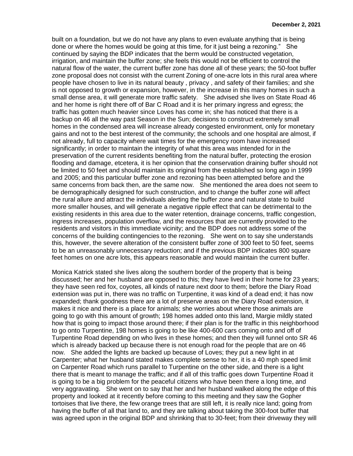built on a foundation, but we do not have any plans to even evaluate anything that is being done or where the homes would be going at this time, for it just being a rezoning." She continued by saying the BDP indicates that the berm would be constructed vegetation, irrigation, and maintain the buffer zone; she feels this would not be efficient to control the natural flow of the water, the current buffer zone has done all of these years; the 50-foot buffer zone proposal does not consist with the current Zoning of one-acre lots in this rural area where people have chosen to live in its natural beauty , privacy , and safety of their families; and she is not opposed to growth or expansion, however, in the increase in this many homes in such a small dense area, it will generate more traffic safety. She advised she lives on State Road 46 and her home is right there off of Bar C Road and it is her primary ingress and egress; the traffic has gotten much heavier since Loves has come in; she has noticed that there is a backup on 46 all the way past Season in the Sun; decisions to construct extremely small homes in the condensed area will increase already congested environment, only for monetary gains and not to the best interest of the community; the schools and one hospital are almost, if not already, full to capacity where wait times for the emergency room have increased significantly; in order to maintain the integrity of what this area was intended for in the preservation of the current residents benefiting from the natural buffer, protecting the erosion flooding and damage, etcetera, it is her opinion that the conservation draining buffer should not be limited to 50 feet and should maintain its original from the established so long ago in 1999 and 2005; and this particular buffer zone and rezoning has been attempted before and the same concerns from back then, are the same now. She mentioned the area does not seem to be demographically designed for such construction, and to change the buffer zone will affect the rural allure and attract the individuals alerting the buffer zone and natural state to build more smaller houses, and will generate a negative ripple effect that can be detrimental to the existing residents in this area due to the water retention, drainage concerns, traffic congestion, ingress increases, population overflow, and the resources that are currently provided to the residents and visitors in this immediate vicinity; and the BDP does not address some of the concerns of the building contingencies to the rezoning. She went on to say she understands this, however, the severe alteration of the consistent buffer zone of 300 feet to 50 feet, seems to be an unreasonably unnecessary reduction; and if the previous BDP indicates 800 square feet homes on one acre lots, this appears reasonable and would maintain the current buffer.

Monica Katrick stated she lives along the southern border of the property that is being discussed; her and her husband are opposed to this; they have lived in their home for 23 years; they have seen red fox, coyotes, all kinds of nature next door to them; before the Diary Road extension was put in, there was no traffic on Turpentine, it was kind of a dead end; it has now expanded; thank goodness there are a lot of preserve areas on the Diary Road extension, it makes it nice and there is a place for animals; she worries about where those animals are going to go with this amount of growth; 198 homes added onto this land, Margie mildly stated how that is going to impact those around there; if their plan is for the traffic in this neighborhood to go onto Turpentine, 198 homes is going to be like 400-600 cars coming onto and off of Turpentine Road depending on who lives in these homes; and then they will funnel onto SR 46 which is already backed up because there is not enough road for the people that are on 46 now. She added the lights are backed up because of Loves; they put a new light in at Carpenter; what her husband stated makes complete sense to her, it is a 40 mph speed limit on Carpenter Road which runs parallel to Turpentine on the other side, and there is a light there that is meant to manage the traffic; and if all of this traffic goes down Turpentine Road it is going to be a big problem for the peaceful citizens who have been there a long time, and very aggravating. She went on to say that her and her husband walked along the edge of this property and looked at it recently before coming to this meeting and they saw the Gopher tortoises that live there, the few orange trees that are still left, it is really nice land; going from having the buffer of all that land to, and they are talking about taking the 300-foot buffer that was agreed upon in the original BDP and shrinking that to 30-feet; from their driveway they will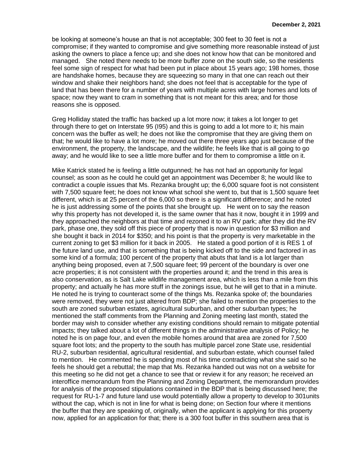be looking at someone's house an that is not acceptable; 300 feet to 30 feet is not a compromise; if they wanted to compromise and give something more reasonable instead of just asking the owners to place a fence up; and she does not know how that can be monitored and managed. She noted there needs to be more buffer zone on the south side, so the residents feel some sign of respect for what had been put in place about 15 years ago; 198 homes, those are handshake homes, because they are squeezing so many in that one can reach out their window and shake their neighbors hand; she does not feel that is acceptable for the type of land that has been there for a number of years with multiple acres with large homes and lots of space; now they want to cram in something that is not meant for this area; and for those reasons she is opposed.

Greg Holliday stated the traffic has backed up a lot more now; it takes a lot longer to get through there to get on Interstate 95 (I95) and this is going to add a lot more to it; his main concern was the buffer as well; he does not like the compromise that they are giving them on that; he would like to have a lot more; he moved out there three years ago just because of the environment, the property, the landscape, and the wildlife; he feels like that is all going to go away; and he would like to see a little more buffer and for them to compromise a little on it.

Mike Katrick stated he is feeling a little outgunned; he has not had an opportunity for legal counsel; as soon as he could he could get an appointment was December 8; he would like to contradict a couple issues that Ms. Rezanka brought up; the 6,000 square foot is not consistent with 7,500 square feet; he does not know what school she went to, but that is 1,500 square feet different, which is at 25 percent of the 6,000 so there is a significant difference; and he noted he is just addressing some of the points that she brought up. He went on to say the reason why this property has not developed it, is the same owner that has it now, bought it in 1999 and they approached the neighbors at that time and rezoned it to an RV park; after they did the RV park, phase one, they sold off this piece of property that is now in question for \$3 million and she bought it back in 2014 for \$350; and his point is that the property is very marketable in the current zoning to get \$3 million for it back in 2005. He stated a good portion of it is RES 1 of the future land use, and that is something that is being kicked off to the side and factored in as some kind of a formula; 100 percent of the property that abuts that land is a lot larger than anything being proposed, even at 7,500 square feet; 99 percent of the boundary is over one acre properties; it is not consistent with the properties around it; and the trend in this area is also conservation, as is Salt Lake wildlife management area, which is less than a mile from this property; and actually he has more stuff in the zonings issue, but he will get to that in a minute. He noted he is trying to counteract some of the things Ms. Rezanka spoke of; the boundaries were removed, they were not just altered from BDP; she failed to mention the properties to the south are zoned suburban estates, agricultural suburban, and other suburban types; he mentioned the staff comments from the Planning and Zoning meeting last month, stated the border may wish to consider whether any existing conditions should remain to mitigate potential impacts; they talked about a lot of different things in the administrative analysis of Policy; he noted he is on page four, and even the mobile homes around that area are zoned for 7,500 square foot lots; and the property to the south has multiple parcel zone State use, residential RU-2, suburban residential, agricultural residential, and suburban estate, which counsel failed to mention. He commented he is spending most of his time contradicting what she said so he feels he should get a rebuttal; the map that Ms. Rezanka handed out was not on a website for this meeting so he did not get a chance to see that or review it for any reason; he received an interoffice memorandum from the Planning and Zoning Department, the memorandum provides for analysis of the proposed stipulations contained in the BDP that is being discussed here; the request for RU-1-7 and future land use would potentially allow a property to develop to 301units without the cap, which is not in line for what is being done; on Section four where it mentions the buffer that they are speaking of, originally, when the applicant is applying for this property now, applied for an application for that; there is a 300 foot buffer in this southern area that is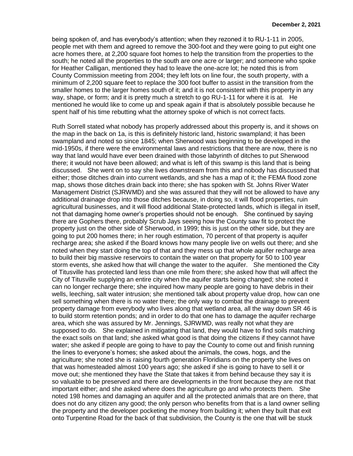being spoken of, and has everybody's attention; when they rezoned it to RU-1-11 in 2005, people met with them and agreed to remove the 300-foot and they were going to put eight one acre homes there, at 2,200 square foot homes to help the transition from the properties to the south; he noted all the properties to the south are one acre or larger; and someone who spoke for Heather Calligan, mentioned they had to leave the one-acre lot; he noted this is from County Commission meeting from 2004; they left lots on line four, the south property, with a minimum of 2,200 square feet to replace the 300 foot buffer to assist in the transition from the smaller homes to the larger homes south of it; and it is not consistent with this property in any way, shape, or form; and it is pretty much a stretch to go RU-1-11 for where it is at. He mentioned he would like to come up and speak again if that is absolutely possible because he spent half of his time rebutting what the attorney spoke of which is not correct facts.

Ruth Sorrell stated what nobody has properly addressed about this property is, and it shows on the map in the back on 1a, is this is definitely historic land, historic swampland; it has been swampland and noted so since 1845; when Sherwood was beginning to be developed in the mid-1950s, if there were the environmental laws and restrictions that there are now, there is no way that land would have ever been drained with those labyrinth of ditches to put Sherwood there; it would not have been allowed; and what is left of this swamp is this land that is being discussed. She went on to say she lives downstream from this and nobody has discussed that either; those ditches drain into current wetlands, and she has a map of it; the FEMA flood zone map, shows those ditches drain back into there; she has spoken with St. Johns River Water Management District (SJRWMD) and she was assured that they will not be allowed to have any additional drainage drop into those ditches because, in doing so, it will flood properties, ruin agricultural businesses, and it will flood additional State-protected lands, which is illegal in itself, not that damaging home owner's properties should not be enough. She continued by saying there are Gophers there, probably Scrub Jays seeing how the County saw fit to protect the property just on the other side of Sherwood, in 1999; this is just on the other side, but they are going to put 200 homes there; in her rough estimation, 70 percent of that property is aquifer recharge area; she asked if the Board knows how many people live on wells out there; and she noted when they start doing the top of that and they mess up that whole aquifer recharge area to build their big massive reservoirs to contain the water on that property for 50 to 100 year storm events, she asked how that will change the water to the aquifer. She mentioned the City of Titusville has protected land less than one mile from there; she asked how that will affect the City of Titusville supplying an entire city when the aquifer starts being changed; she noted it can no longer recharge there; she inquired how many people are going to have debris in their wells, leeching, salt water intrusion; she mentioned talk about property value drop, how can one sell something when there is no water there; the only way to combat the drainage to prevent property damage from everybody who lives along that wetland area, all the way down SR 46 is to build storm retention ponds; and in order to do that one has to damage the aquifer recharge area, which she was assured by Mr. Jennings, SJRWMD, was really not what they are supposed to do. She explained in mitigating that land, they would have to find soils matching the exact soils on that land; she asked what good is that doing the citizens if they cannot have water; she asked if people are going to have to pay the County to come out and finish running the lines to everyone's homes; she asked about the animals, the cows, hogs, and the agriculture; she noted she is raising fourth generation Floridians on the property she lives on that was homesteaded almost 100 years ago; she asked if she is going to have to sell it or move out; she mentioned they have the State that takes it from behind because they say it is so valuable to be preserved and there are developments in the front because they are not that important either; and she asked where does the agriculture go and who protects them. She noted 198 homes and damaging an aquifer and all the protected animals that are on there, that does not do any citizen any good; the only person who benefits from that is a land owner selling the property and the developer pocketing the money from building it; when they built that exit onto Turpentine Road for the back of that subdivision, the County is the one that will be stuck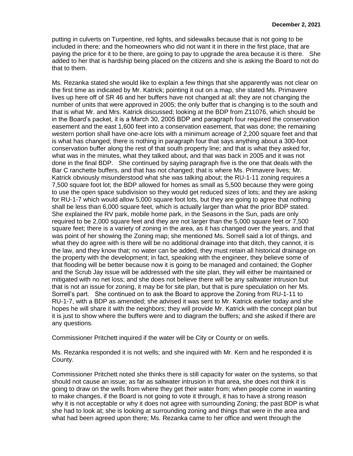putting in culverts on Turpentine, red lights, and sidewalks because that is not going to be included in there; and the homeowners who did not want it in there in the first place, that are paying the price for it to be there, are going to pay to upgrade the area because it is there. She added to her that is hardship being placed on the citizens and she is asking the Board to not do that to them.

Ms. Rezanka stated she would like to explain a few things that she apparently was not clear on the first time as indicated by Mr. Katrick; pointing it out on a map, she stated Ms. Primavere lives up here off of SR 46 and her buffers have not changed at all; they are not changing the number of units that were approved in 2005; the only buffer that is changing is to the south and that is what Mr. and Mrs. Katrick discussed; looking at the BDP from Z11076, which should be in the Board's packet, it is a March 30, 2005 BDP and paragraph four required the conservation easement and the east 1,600 feet into a conservation easement, that was done; the remaining western portion shall have one-acre lots with a minimum acreage of 2,200 square feet and that is what has changed; there is nothing in paragraph four that says anything about a 300-foot conservation buffer along the rest of that south property line; and that is what they asked for, what was in the minutes, what they talked about, and that was back in 2005 and it was not done in the final BDP. She continued by saying paragraph five is the one that deals with the Bar C ranchette buffers, and that has not changed; that is where Ms. Primavere lives; Mr. Katrick obviously misunderstood what she was talking about; the RU-1-11 zoning requires a 7,500 square foot lot; the BDP allowed for homes as small as 5,500 because they were going to use the open space subdivision so they would get reduced sizes of lots; and they are asking for RU-1-7 which would allow 5,000 square foot lots, but they are going to agree that nothing shall be less than 6,000 square feet, which is actually larger than what the prior BDP stated. She explained the RV park, mobile home park, in the Seasons in the Sun, pads are only required to be 2,000 square feet and they are not larger than the 5,000 square feet or 7,500 square feet; there is a variety of zoning in the area, as it has changed over the years, and that was point of her showing the Zoning map; she mentioned Ms. Sorrell said a lot of things, and what they do agree with is there will be no additional drainage into that ditch, they cannot, it is the law, and they know that; no water can be added, they must retain all historical drainage on the property with the development; in fact, speaking with the engineer, they believe some of that flooding will be better because now it is going to be managed and contained; the Gopher and the Scrub Jay issue will be addressed with the site plan, they will either be maintained or mitigated with no net loss; and she does not believe there will be any saltwater intrusion but that is not an issue for zoning, it may be for site plan, but that is pure speculation on her Ms. Sorrell's part. She continued on to ask the Board to approve the Zoning from RU-1-11 to RU-1-7, with a BDP as amended; she advised it was sent to Mr. Katrick earlier today and she hopes he will share it with the neighbors; they will provide Mr. Katrick with the concept plan but it is just to show where the buffers were and to diagram the buffers; and she asked if there are any questions.

Commissioner Pritchett inquired if the water will be City or County or on wells.

Ms. Rezanka responded it is not wells; and she inquired with Mr. Kern and he responded it is County.

Commissioner Pritchett noted she thinks there is still capacity for water on the systems, so that should not cause an issue; as far as saltwater intrusion in that area, she does not think it is going to draw on the wells from where they get their water from; when people come in wanting to make changes, if the Board is not going to vote it through, it has to have a strong reason why it is not acceptable or why it does not agree with surrounding Zoning; the past BDP is what she had to look at; she is looking at surrounding zoning and things that were in the area and what had been agreed upon there; Ms. Rezanka came to her office and went through the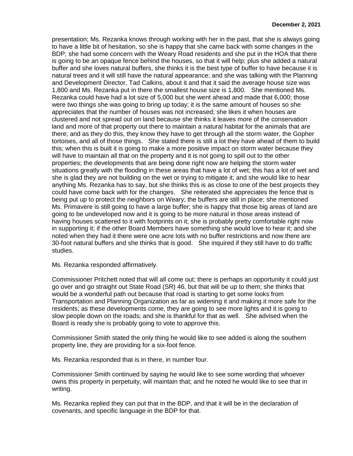presentation; Ms. Rezanka knows through working with her in the past, that she is always going to have a little bit of hesitation, so she is happy that she came back with some changes in the BDP; she had some concern with the Weary Road residents and she put in the HOA that there is going to be an opaque fence behind the houses, so that it will help; plus she added a natural buffer and she loves natural buffers, she thinks it is the best type of buffer to have because it is natural trees and it will still have the natural appearance; and she was talking with the Planning and Development Director, Tad Calkins, about it and that it said the average house size was 1,800 and Ms. Rezanka put in there the smallest house size is 1,800. She mentioned Ms. Rezanka could have had a lot size of 5,000 but she went ahead and made that 6,000; those were two things she was going to bring up today; it is the same amount of houses so she appreciates that the number of houses was not increased; she likes it when houses are clustered and not spread out on land because she thinks it leaves more of the conservation land and more of that property out there to maintain a natural habitat for the animals that are there; and as they do this, they know they have to get through all the storm water, the Gopher tortoises, and all of those things. She stated there is still a lot they have ahead of them to build this; when this is built it is going to make a more positive impact on storm water because they will have to maintain all that on the property and it is not going to spill out to the other properties; the developments that are being done right now are helping the storm water situations greatly with the flooding in these areas that have a lot of wet; this has a lot of wet and she is glad they are not building on the wet or trying to mitigate it; and she would like to hear anything Ms. Rezanka has to say, but she thinks this is as close to one of the best projects they could have come back with for the changes. She reiterated she appreciates the fence that is being put up to protect the neighbors on Weary; the buffers are still in place; she mentioned Ms. Primavere is still going to have a large buffer; she is happy that those big areas of land are going to be undeveloped now and it is going to be more natural in those areas instead of having houses scattered to it with footprints on it; she is probably pretty comfortable right now in supporting it; if the other Board Members have something she would love to hear it; and she noted when they had it there were one acre lots with no buffer restrictions and now there are 30-foot natural buffers and she thinks that is good. She inquired if they still have to do traffic studies.

Ms. Rezanka responded affirmatively.

Commissioner Pritchett noted that will all come out; there is perhaps an opportunity it could just go over and go straight out State Road (SR) 46, but that will be up to them; she thinks that would be a wonderful path out because that road is starting to get some looks from Transportation and Planning Organization as far as widening it and making it more safe for the residents; as these developments come, they are going to see more lights and it is going to slow people down on the roads; and she is thankful for that as well. She advised when the Board is ready she is probably going to vote to approve this.

Commissioner Smith stated the only thing he would like to see added is along the southern property line, they are providing for a six-foot fence.

Ms. Rezanka responded that is in there, in number four.

Commissioner Smith continued by saying he would like to see some wording that whoever owns this property in perpetuity, will maintain that; and he noted he would like to see that in writing.

Ms. Rezanka replied they can put that in the BDP, and that it will be in the declaration of covenants, and specific language in the BDP for that.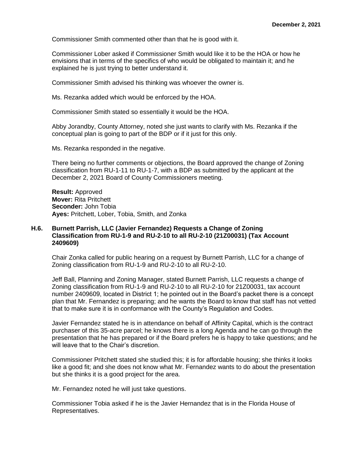Commissioner Smith commented other than that he is good with it.

Commissioner Lober asked if Commissioner Smith would like it to be the HOA or how he envisions that in terms of the specifics of who would be obligated to maintain it; and he explained he is just trying to better understand it.

Commissioner Smith advised his thinking was whoever the owner is.

Ms. Rezanka added which would be enforced by the HOA.

Commissioner Smith stated so essentially it would be the HOA.

Abby Jorandby, County Attorney, noted she just wants to clarify with Ms. Rezanka if the conceptual plan is going to part of the BDP or if it just for this only.

Ms. Rezanka responded in the negative.

There being no further comments or objections, the Board approved the change of Zoning classification from RU-1-11 to RU-1-7, with a BDP as submitted by the applicant at the December 2, 2021 Board of County Commissioners meeting.

**Result:** Approved **Mover:** Rita Pritchett **Seconder:** John Tobia **Ayes:** Pritchett, Lober, Tobia, Smith, and Zonka

# **H.6. Burnett Parrish, LLC (Javier Fernandez) Requests a Change of Zoning Classification from RU-1-9 and RU-2-10 to all RU-2-10 (21Z00031) (Tax Account 2409609)**

Chair Zonka called for public hearing on a request by Burnett Parrish, LLC for a change of Zoning classification from RU-1-9 and RU-2-10 to all RU-2-10.

Jeff Ball, Planning and Zoning Manager, stated Burnett Parrish, LLC requests a change of Zoning classification from RU-1-9 and RU-2-10 to all RU-2-10 for 21Z00031, tax account number 2409609, located in District 1; he pointed out in the Board's packet there is a concept plan that Mr. Fernandez is preparing; and he wants the Board to know that staff has not vetted that to make sure it is in conformance with the County's Regulation and Codes.

Javier Fernandez stated he is in attendance on behalf of Affinity Capital, which is the contract purchaser of this 35-acre parcel; he knows there is a long Agenda and he can go through the presentation that he has prepared or if the Board prefers he is happy to take questions; and he will leave that to the Chair's discretion.

Commissioner Pritchett stated she studied this; it is for affordable housing; she thinks it looks like a good fit; and she does not know what Mr. Fernandez wants to do about the presentation but she thinks it is a good project for the area.

Mr. Fernandez noted he will just take questions.

Commissioner Tobia asked if he is the Javier Hernandez that is in the Florida House of Representatives.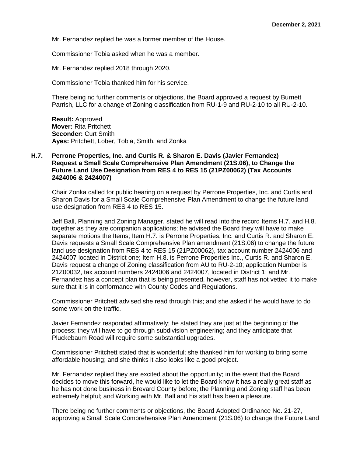Mr. Fernandez replied he was a former member of the House.

Commissioner Tobia asked when he was a member.

Mr. Fernandez replied 2018 through 2020.

Commissioner Tobia thanked him for his service.

There being no further comments or objections, the Board approved a request by Burnett Parrish, LLC for a change of Zoning classification from RU-1-9 and RU-2-10 to all RU-2-10.

**Result:** Approved **Mover:** Rita Pritchett **Seconder:** Curt Smith **Ayes:** Pritchett, Lober, Tobia, Smith, and Zonka

# **H.7. Perrone Properties, Inc. and Curtis R. & Sharon E. Davis (Javier Fernandez) Request a Small Scale Comprehensive Plan Amendment (21S.06), to Change the Future Land Use Designation from RES 4 to RES 15 (21PZ00062) (Tax Accounts 2424006 & 2424007)**

Chair Zonka called for public hearing on a request by Perrone Properties, Inc. and Curtis and Sharon Davis for a Small Scale Comprehensive Plan Amendment to change the future land use designation from RES 4 to RES 15.

Jeff Ball, Planning and Zoning Manager, stated he will read into the record Items H.7. and H.8. together as they are companion applications; he advised the Board they will have to make separate motions the Items; Item H.7. is Perrone Properties, Inc. and Curtis R. and Sharon E. Davis requests a Small Scale Comprehensive Plan amendment (21S.06) to change the future land use designation from RES 4 to RES 15 (21PZ00062), tax account number 2424006 and 2424007 located in District one; Item H.8. is Perrone Properties Inc., Curtis R. and Sharon E. Davis request a change of Zoning classification from AU to RU-2-10; application Number is 21Z00032, tax account numbers 2424006 and 2424007, located in District 1; and Mr. Fernandez has a concept plan that is being presented, however, staff has not vetted it to make sure that it is in conformance with County Codes and Regulations.

Commissioner Pritchett advised she read through this; and she asked if he would have to do some work on the traffic.

Javier Fernandez responded affirmatively; he stated they are just at the beginning of the process; they will have to go through subdivision engineering; and they anticipate that Pluckebaum Road will require some substantial upgrades.

Commissioner Pritchett stated that is wonderful; she thanked him for working to bring some affordable housing; and she thinks it also looks like a good project.

Mr. Fernandez replied they are excited about the opportunity; in the event that the Board decides to move this forward, he would like to let the Board know it has a really great staff as he has not done business in Brevard County before; the Planning and Zoning staff has been extremely helpful; and Working with Mr. Ball and his staff has been a pleasure.

There being no further comments or objections, the Board Adopted Ordinance No. 21-27, approving a Small Scale Comprehensive Plan Amendment (21S.06) to change the Future Land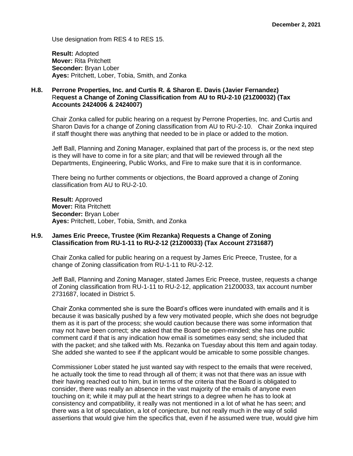Use designation from RES 4 to RES 15.

**Result:** Adopted **Mover:** Rita Pritchett **Seconder:** Bryan Lober **Ayes:** Pritchett, Lober, Tobia, Smith, and Zonka

# **H.8. Perrone Properties, Inc. and Curtis R. & Sharon E. Davis (Javier Fernandez)**  R**equest a Change of Zoning Classification from AU to RU-2-10 (21Z00032) (Tax Accounts 2424006 & 2424007)**

Chair Zonka called for public hearing on a request by Perrone Properties, Inc. and Curtis and Sharon Davis for a change of Zoning classification from AU to RU-2-10. Chair Zonka inquired if staff thought there was anything that needed to be in place or added to the motion.

Jeff Ball, Planning and Zoning Manager, explained that part of the process is, or the next step is they will have to come in for a site plan; and that will be reviewed through all the Departments, Engineering, Public Works, and Fire to make sure that it is in conformance.

There being no further comments or objections, the Board approved a change of Zoning classification from AU to RU-2-10.

**Result:** Approved **Mover:** Rita Pritchett **Seconder:** Bryan Lober **Ayes:** Pritchett, Lober, Tobia, Smith, and Zonka

# **H.9. James Eric Preece, Trustee (Kim Rezanka) Requests a Change of Zoning Classification from RU-1-11 to RU-2-12 (21Z00033) (Tax Account 2731687)**

Chair Zonka called for public hearing on a request by James Eric Preece, Trustee, for a change of Zoning classification from RU-1-11 to RU-2-12.

Jeff Ball, Planning and Zoning Manager, stated James Eric Preece, trustee, requests a change of Zoning classification from RU-1-11 to RU-2-12, application 21Z00033, tax account number 2731687, located in District 5.

Chair Zonka commented she is sure the Board's offices were inundated with emails and it is because it was basically pushed by a few very motivated people, which she does not begrudge them as it is part of the process; she would caution because there was some information that may not have been correct; she asked that the Board be open-minded; she has one public comment card if that is any indication how email is sometimes easy send; she included that with the packet; and she talked with Ms. Rezanka on Tuesday about this Item and again today. She added she wanted to see if the applicant would be amicable to some possible changes.

Commissioner Lober stated he just wanted say with respect to the emails that were received, he actually took the time to read through all of them; it was not that there was an issue with their having reached out to him, but in terms of the criteria that the Board is obligated to consider, there was really an absence in the vast majority of the emails of anyone even touching on it; while it may pull at the heart strings to a degree when he has to look at consistency and compatibility, it really was not mentioned in a lot of what he has seen; and there was a lot of speculation, a lot of conjecture, but not really much in the way of solid assertions that would give him the specifics that, even if he assumed were true, would give him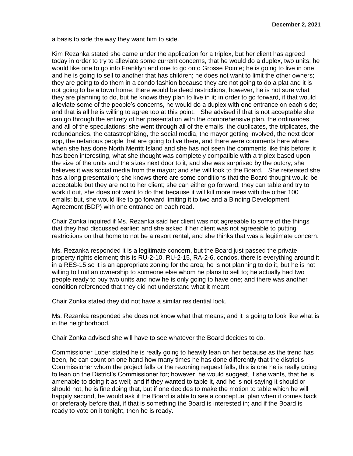a basis to side the way they want him to side.

Kim Rezanka stated she came under the application for a triplex, but her client has agreed today in order to try to alleviate some current concerns, that he would do a duplex, two units; he would like one to go into Franklyn and one to go onto Grosse Pointe; he is going to live in one and he is going to sell to another that has children; he does not want to limit the other owners; they are going to do them in a condo fashion because they are not going to do a plat and it is not going to be a town home; there would be deed restrictions, however, he is not sure what they are planning to do, but he knows they plan to live in it; in order to go forward, if that would alleviate some of the people's concerns, he would do a duplex with one entrance on each side; and that is all he is willing to agree too at this point. She advised if that is not acceptable she can go through the entirety of her presentation with the comprehensive plan, the ordinances, and all of the speculations; she went through all of the emails, the duplicates, the triplicates, the redundancies, the catastrophizing, the social media, the mayor getting involved, the next door app, the nefarious people that are going to live there, and there were comments here where when she has done North Merritt Island and she has not seen the comments like this before; it has been interesting, what she thought was completely compatible with a triplex based upon the size of the units and the sizes next door to it, and she was surprised by the outcry; she believes it was social media from the mayor; and she will look to the Board. She reiterated she has a long presentation; she knows there are some conditions that the Board thought would be acceptable but they are not to her client; she can either go forward, they can table and try to work it out, she does not want to do that because it will kill more trees with the other 100 emails; but, she would like to go forward limiting it to two and a Binding Development Agreement (BDP) with one entrance on each road.

Chair Zonka inquired if Ms. Rezanka said her client was not agreeable to some of the things that they had discussed earlier; and she asked if her client was not agreeable to putting restrictions on that home to not be a resort rental; and she thinks that was a legitimate concern.

Ms. Rezanka responded it is a legitimate concern, but the Board just passed the private property rights element; this is RU-2-10, RU-2-15, RA-2-6, condos, there is everything around it in a RES-15 so it is an appropriate zoning for the area; he is not planning to do it, but he is not willing to limit an ownership to someone else whom he plans to sell to; he actually had two people ready to buy two units and now he is only going to have one; and there was another condition referenced that they did not understand what it meant.

Chair Zonka stated they did not have a similar residential look.

Ms. Rezanka responded she does not know what that means; and it is going to look like what is in the neighborhood.

Chair Zonka advised she will have to see whatever the Board decides to do.

Commissioner Lober stated he is really going to heavily lean on her because as the trend has been, he can count on one hand how many times he has done differently that the district's Commissioner whom the project falls or the rezoning request falls; this is one he is really going to lean on the District's Commissioner for; however, he would suggest, if she wants, that he is amenable to doing it as well; and if they wanted to table it, and he is not saying it should or should not, he is fine doing that, but if one decides to make the motion to table which he will happily second, he would ask if the Board is able to see a conceptual plan when it comes back or preferably before that, if that is something the Board is interested in; and if the Board is ready to vote on it tonight, then he is ready.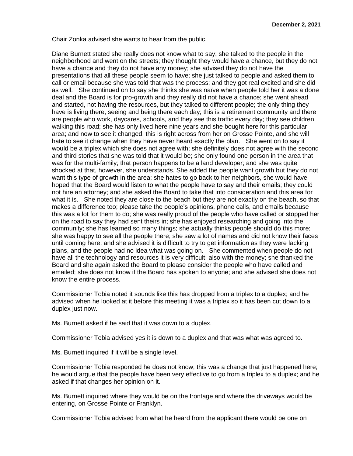Chair Zonka advised she wants to hear from the public.

Diane Burnett stated she really does not know what to say; she talked to the people in the neighborhood and went on the streets; they thought they would have a chance, but they do not have a chance and they do not have any money; she advised they do not have the presentations that all these people seem to have; she just talked to people and asked them to call or email because she was told that was the process; and they got real excited and she did as well. She continued on to say she thinks she was naïve when people told her it was a done deal and the Board is for pro-growth and they really did not have a chance; she went ahead and started, not having the resources, but they talked to different people; the only thing they have is living there, seeing and being there each day; this is a retirement community and there are people who work, daycares, schools, and they see this traffic every day; they see children walking this road; she has only lived here nine years and she bought here for this particular area; and now to see it changed, this is right across from her on Grosse Pointe, and she will hate to see it change when they have never heard exactly the plan. She went on to say it would be a triplex which she does not agree with; she definitely does not agree with the second and third stories that she was told that it would be; she only found one person in the area that was for the multi-family; that person happens to be a land developer; and she was quite shocked at that, however, she understands. She added the people want growth but they do not want this type of growth in the area; she hates to go back to her neighbors, she would have hoped that the Board would listen to what the people have to say and their emails; they could not hire an attorney; and she asked the Board to take that into consideration and this area for what it is. She noted they are close to the beach but they are not exactly on the beach, so that makes a difference too; please take the people's opinions, phone calls, and emails because this was a lot for them to do; she was really proud of the people who have called or stopped her on the road to say they had sent theirs in; she has enjoyed researching and going into the community; she has learned so many things; she actually thinks people should do this more; she was happy to see all the people there; she saw a lot of names and did not know their faces until coming here; and she advised it is difficult to try to get information as they were lacking plans, and the people had no idea what was going on. She commented when people do not have all the technology and resources it is very difficult; also with the money; she thanked the Board and she again asked the Board to please consider the people who have called and emailed; she does not know if the Board has spoken to anyone; and she advised she does not know the entire process.

Commissioner Tobia noted it sounds like this has dropped from a triplex to a duplex; and he advised when he looked at it before this meeting it was a triplex so it has been cut down to a duplex just now.

Ms. Burnett asked if he said that it was down to a duplex.

Commissioner Tobia advised yes it is down to a duplex and that was what was agreed to.

Ms. Burnett inquired if it will be a single level.

Commissioner Tobia responded he does not know; this was a change that just happened here; he would argue that the people have been very effective to go from a triplex to a duplex; and he asked if that changes her opinion on it.

Ms. Burnett inquired where they would be on the frontage and where the driveways would be entering, on Grosse Pointe or Franklyn.

Commissioner Tobia advised from what he heard from the applicant there would be one on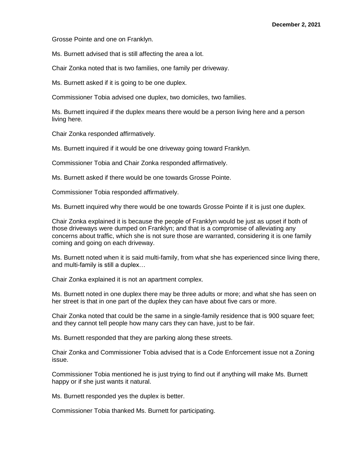Grosse Pointe and one on Franklyn.

Ms. Burnett advised that is still affecting the area a lot.

Chair Zonka noted that is two families, one family per driveway.

Ms. Burnett asked if it is going to be one duplex.

Commissioner Tobia advised one duplex, two domiciles, two families.

Ms. Burnett inquired if the duplex means there would be a person living here and a person living here.

Chair Zonka responded affirmatively.

Ms. Burnett inquired if it would be one driveway going toward Franklyn.

Commissioner Tobia and Chair Zonka responded affirmatively.

Ms. Burnett asked if there would be one towards Grosse Pointe.

Commissioner Tobia responded affirmatively.

Ms. Burnett inquired why there would be one towards Grosse Pointe if it is just one duplex.

Chair Zonka explained it is because the people of Franklyn would be just as upset if both of those driveways were dumped on Franklyn; and that is a compromise of alleviating any concerns about traffic, which she is not sure those are warranted, considering it is one family coming and going on each driveway.

Ms. Burnett noted when it is said multi-family, from what she has experienced since living there, and multi-family is still a duplex…

Chair Zonka explained it is not an apartment complex.

Ms. Burnett noted in one duplex there may be three adults or more; and what she has seen on her street is that in one part of the duplex they can have about five cars or more.

Chair Zonka noted that could be the same in a single-family residence that is 900 square feet; and they cannot tell people how many cars they can have, just to be fair.

Ms. Burnett responded that they are parking along these streets.

Chair Zonka and Commissioner Tobia advised that is a Code Enforcement issue not a Zoning issue.

Commissioner Tobia mentioned he is just trying to find out if anything will make Ms. Burnett happy or if she just wants it natural.

Ms. Burnett responded yes the duplex is better.

Commissioner Tobia thanked Ms. Burnett for participating.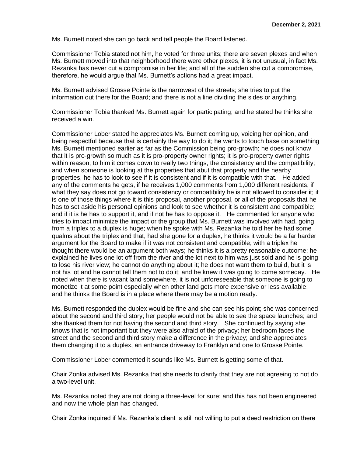Ms. Burnett noted she can go back and tell people the Board listened.

Commissioner Tobia stated not him, he voted for three units; there are seven plexes and when Ms. Burnett moved into that neighborhood there were other plexes, it is not unusual, in fact Ms. Rezanka has never cut a compromise in her life; and all of the sudden she cut a compromise, therefore, he would argue that Ms. Burnett's actions had a great impact.

Ms. Burnett advised Grosse Pointe is the narrowest of the streets; she tries to put the information out there for the Board; and there is not a line dividing the sides or anything.

Commissioner Tobia thanked Ms. Burnett again for participating; and he stated he thinks she received a win.

Commissioner Lober stated he appreciates Ms. Burnett coming up, voicing her opinion, and being respectful because that is certainly the way to do it; he wants to touch base on something Ms. Burnett mentioned earlier as far as the Commission being pro-growth; he does not know that it is pro-growth so much as it is pro-property owner rights; it is pro-property owner rights within reason; to him it comes down to really two things, the consistency and the compatibility; and when someone is looking at the properties that abut that property and the nearby properties, he has to look to see if it is consistent and if it is compatible with that. He added any of the comments he gets, if he receives 1,000 comments from 1,000 different residents, if what they say does not go toward consistency or compatibility he is not allowed to consider it; it is one of those things where it is this proposal, another proposal, or all of the proposals that he has to set aside his personal opinions and look to see whether it is consistent and compatible; and if it is he has to support it, and if not he has to oppose it. He commented for anyone who tries to impact minimize the impact or the group that Ms. Burnett was involved with had, going from a triplex to a duplex is huge; when he spoke with Ms. Rezanka he told her he had some qualms about the triplex and that, had she gone for a duplex, he thinks it would be a far harder argument for the Board to make if it was not consistent and compatible; with a triplex he thought there would be an argument both ways; he thinks it is a pretty reasonable outcome; he explained he lives one lot off from the river and the lot next to him was just sold and he is going to lose his river view; he cannot do anything about it; he does not want them to build, but it is not his lot and he cannot tell them not to do it; and he knew it was going to come someday. He noted when there is vacant land somewhere, it is not unforeseeable that someone is going to monetize it at some point especially when other land gets more expensive or less available; and he thinks the Board is in a place where there may be a motion ready.

Ms. Burnett responded the duplex would be fine and she can see his point; she was concerned about the second and third story; her people would not be able to see the space launches; and she thanked them for not having the second and third story. She continued by saying she knows that is not important but they were also afraid of the privacy; her bedroom faces the street and the second and third story make a difference in the privacy; and she appreciates them changing it to a duplex, an entrance driveway to Franklyn and one to Grosse Pointe.

Commissioner Lober commented it sounds like Ms. Burnett is getting some of that.

Chair Zonka advised Ms. Rezanka that she needs to clarify that they are not agreeing to not do a two-level unit.

Ms. Rezanka noted they are not doing a three-level for sure; and this has not been engineered and now the whole plan has changed.

Chair Zonka inquired if Ms. Rezanka's client is still not willing to put a deed restriction on there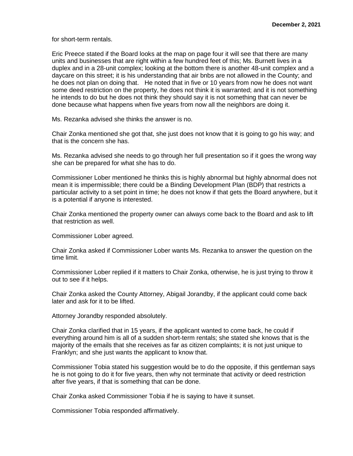for short-term rentals.

Eric Preece stated if the Board looks at the map on page four it will see that there are many units and businesses that are right within a few hundred feet of this; Ms. Burnett lives in a duplex and in a 28-unit complex; looking at the bottom there is another 48-unit complex and a daycare on this street; it is his understanding that air bnbs are not allowed in the County; and he does not plan on doing that. He noted that in five or 10 years from now he does not want some deed restriction on the property, he does not think it is warranted; and it is not something he intends to do but he does not think they should say it is not something that can never be done because what happens when five years from now all the neighbors are doing it.

Ms. Rezanka advised she thinks the answer is no.

Chair Zonka mentioned she got that, she just does not know that it is going to go his way; and that is the concern she has.

Ms. Rezanka advised she needs to go through her full presentation so if it goes the wrong way she can be prepared for what she has to do.

Commissioner Lober mentioned he thinks this is highly abnormal but highly abnormal does not mean it is impermissible; there could be a Binding Development Plan (BDP) that restricts a particular activity to a set point in time; he does not know if that gets the Board anywhere, but it is a potential if anyone is interested.

Chair Zonka mentioned the property owner can always come back to the Board and ask to lift that restriction as well.

Commissioner Lober agreed.

Chair Zonka asked if Commissioner Lober wants Ms. Rezanka to answer the question on the time limit.

Commissioner Lober replied if it matters to Chair Zonka, otherwise, he is just trying to throw it out to see if it helps.

Chair Zonka asked the County Attorney, Abigail Jorandby, if the applicant could come back later and ask for it to be lifted.

Attorney Jorandby responded absolutely.

Chair Zonka clarified that in 15 years, if the applicant wanted to come back, he could if everything around him is all of a sudden short-term rentals; she stated she knows that is the majority of the emails that she receives as far as citizen complaints; it is not just unique to Franklyn; and she just wants the applicant to know that.

Commissioner Tobia stated his suggestion would be to do the opposite, if this gentleman says he is not going to do it for five years, then why not terminate that activity or deed restriction after five years, if that is something that can be done.

Chair Zonka asked Commissioner Tobia if he is saying to have it sunset.

Commissioner Tobia responded affirmatively.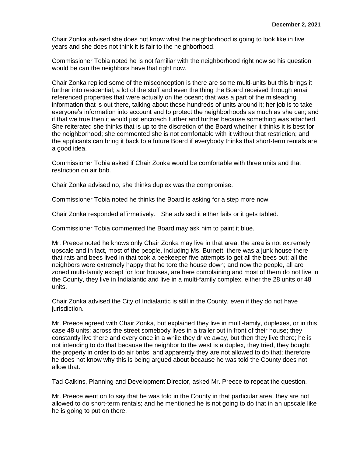Chair Zonka advised she does not know what the neighborhood is going to look like in five years and she does not think it is fair to the neighborhood.

Commissioner Tobia noted he is not familiar with the neighborhood right now so his question would be can the neighbors have that right now.

Chair Zonka replied some of the misconception is there are some multi-units but this brings it further into residential; a lot of the stuff and even the thing the Board received through email referenced properties that were actually on the ocean; that was a part of the misleading information that is out there, talking about these hundreds of units around it; her job is to take everyone's information into account and to protect the neighborhoods as much as she can; and if that we true then it would just encroach further and further because something was attached. She reiterated she thinks that is up to the discretion of the Board whether it thinks it is best for the neighborhood; she commented she is not comfortable with it without that restriction; and the applicants can bring it back to a future Board if everybody thinks that short-term rentals are a good idea.

Commissioner Tobia asked if Chair Zonka would be comfortable with three units and that restriction on air bnb.

Chair Zonka advised no, she thinks duplex was the compromise.

Commissioner Tobia noted he thinks the Board is asking for a step more now.

Chair Zonka responded affirmatively. She advised it either fails or it gets tabled.

Commissioner Tobia commented the Board may ask him to paint it blue.

Mr. Preece noted he knows only Chair Zonka may live in that area; the area is not extremely upscale and in fact, most of the people, including Ms. Burnett, there was a junk house there that rats and bees lived in that took a beekeeper five attempts to get all the bees out; all the neighbors were extremely happy that he tore the house down; and now the people, all are zoned multi-family except for four houses, are here complaining and most of them do not live in the County, they live in Indialantic and live in a multi-family complex, either the 28 units or 48 units.

Chair Zonka advised the City of Indialantic is still in the County, even if they do not have jurisdiction.

Mr. Preece agreed with Chair Zonka, but explained they live in multi-family, duplexes, or in this case 48 units; across the street somebody lives in a trailer out in front of their house; they constantly live there and every once in a while they drive away, but then they live there; he is not intending to do that because the neighbor to the west is a duplex, they tried, they bought the property in order to do air bnbs, and apparently they are not allowed to do that; therefore, he does not know why this is being argued about because he was told the County does not allow that.

Tad Calkins, Planning and Development Director, asked Mr. Preece to repeat the question.

Mr. Preece went on to say that he was told in the County in that particular area, they are not allowed to do short-term rentals; and he mentioned he is not going to do that in an upscale like he is going to put on there.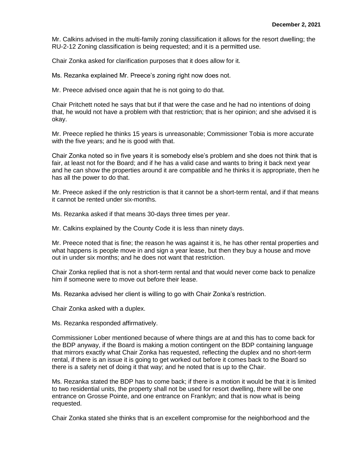Mr. Calkins advised in the multi-family zoning classification it allows for the resort dwelling; the RU-2-12 Zoning classification is being requested; and it is a permitted use.

Chair Zonka asked for clarification purposes that it does allow for it.

Ms. Rezanka explained Mr. Preece's zoning right now does not.

Mr. Preece advised once again that he is not going to do that.

Chair Pritchett noted he says that but if that were the case and he had no intentions of doing that, he would not have a problem with that restriction; that is her opinion; and she advised it is okay.

Mr. Preece replied he thinks 15 years is unreasonable; Commissioner Tobia is more accurate with the five years; and he is good with that.

Chair Zonka noted so in five years it is somebody else's problem and she does not think that is fair, at least not for the Board; and if he has a valid case and wants to bring it back next year and he can show the properties around it are compatible and he thinks it is appropriate, then he has all the power to do that.

Mr. Preece asked if the only restriction is that it cannot be a short-term rental, and if that means it cannot be rented under six-months.

Ms. Rezanka asked if that means 30-days three times per year.

Mr. Calkins explained by the County Code it is less than ninety days.

Mr. Preece noted that is fine; the reason he was against it is, he has other rental properties and what happens is people move in and sign a year lease, but then they buy a house and move out in under six months; and he does not want that restriction.

Chair Zonka replied that is not a short-term rental and that would never come back to penalize him if someone were to move out before their lease.

Ms. Rezanka advised her client is willing to go with Chair Zonka's restriction.

Chair Zonka asked with a duplex.

Ms. Rezanka responded affirmatively.

Commissioner Lober mentioned because of where things are at and this has to come back for the BDP anyway, if the Board is making a motion contingent on the BDP containing language that mirrors exactly what Chair Zonka has requested, reflecting the duplex and no short-term rental, if there is an issue it is going to get worked out before it comes back to the Board so there is a safety net of doing it that way; and he noted that is up to the Chair.

Ms. Rezanka stated the BDP has to come back; if there is a motion it would be that it is limited to two residential units, the property shall not be used for resort dwelling, there will be one entrance on Grosse Pointe, and one entrance on Franklyn; and that is now what is being requested.

Chair Zonka stated she thinks that is an excellent compromise for the neighborhood and the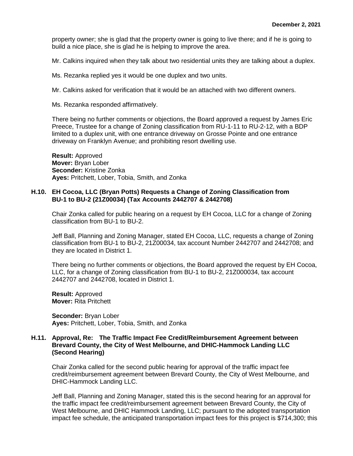property owner; she is glad that the property owner is going to live there; and if he is going to build a nice place, she is glad he is helping to improve the area.

Mr. Calkins inquired when they talk about two residential units they are talking about a duplex.

Ms. Rezanka replied yes it would be one duplex and two units.

Mr. Calkins asked for verification that it would be an attached with two different owners.

Ms. Rezanka responded affirmatively.

There being no further comments or objections, the Board approved a request by James Eric Preece, Trustee for a change of Zoning classification from RU-1-11 to RU-2-12, with a BDP limited to a duplex unit, with one entrance driveway on Grosse Pointe and one entrance driveway on Franklyn Avenue; and prohibiting resort dwelling use.

**Result:** Approved **Mover:** Bryan Lober **Seconder:** Kristine Zonka **Ayes:** Pritchett, Lober, Tobia, Smith, and Zonka

# **H.10. EH Cocoa, LLC (Bryan Potts) Requests a Change of Zoning Classification from BU-1 to BU-2 (21Z00034) (Tax Accounts 2442707 & 2442708)**

Chair Zonka called for public hearing on a request by EH Cocoa, LLC for a change of Zoning classification from BU-1 to BU-2.

Jeff Ball, Planning and Zoning Manager, stated EH Cocoa, LLC, requests a change of Zoning classification from BU-1 to BU-2, 21Z00034, tax account Number 2442707 and 2442708; and they are located in District 1.

There being no further comments or objections, the Board approved the request by EH Cocoa, LLC, for a change of Zoning classification from BU-1 to BU-2, 21Z000034, tax account 2442707 and 2442708, located in District 1.

**Result:** Approved **Mover:** Rita Pritchett

**Seconder:** Bryan Lober **Ayes:** Pritchett, Lober, Tobia, Smith, and Zonka

# **H.11. Approval, Re: The Traffic Impact Fee Credit/Reimbursement Agreement between Brevard County, the City of West Melbourne, and DHIC-Hammock Landing LLC (Second Hearing)**

Chair Zonka called for the second public hearing for approval of the traffic impact fee credit/reimbursement agreement between Brevard County, the City of West Melbourne, and DHIC-Hammock Landing LLC.

Jeff Ball, Planning and Zoning Manager, stated this is the second hearing for an approval for the traffic impact fee credit/reimbursement agreement between Brevard County, the City of West Melbourne, and DHIC Hammock Landing, LLC; pursuant to the adopted transportation impact fee schedule, the anticipated transportation impact fees for this project is \$714,300; this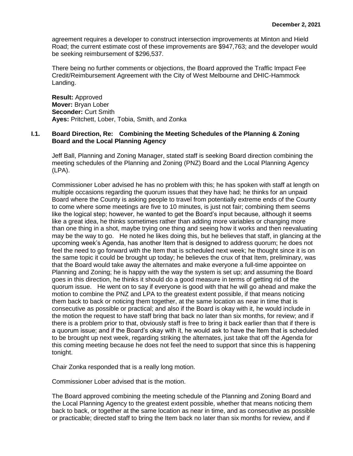agreement requires a developer to construct intersection improvements at Minton and Hield Road; the current estimate cost of these improvements are \$947,763; and the developer would be seeking reimbursement of \$296,537.

There being no further comments or objections, the Board approved the Traffic Impact Fee Credit/Reimbursement Agreement with the City of West Melbourne and DHIC-Hammock Landing.

**Result:** Approved **Mover:** Bryan Lober **Seconder:** Curt Smith **Ayes:** Pritchett, Lober, Tobia, Smith, and Zonka

# **I.1. Board Direction, Re: Combining the Meeting Schedules of the Planning & Zoning Board and the Local Planning Agency**

Jeff Ball, Planning and Zoning Manager, stated staff is seeking Board direction combining the meeting schedules of the Planning and Zoning (PNZ) Board and the Local Planning Agency (LPA).

Commissioner Lober advised he has no problem with this; he has spoken with staff at length on multiple occasions regarding the quorum issues that they have had; he thinks for an unpaid Board where the County is asking people to travel from potentially extreme ends of the County to come where some meetings are five to 10 minutes, is just not fair; combining them seems like the logical step; however, he wanted to get the Board's input because, although it seems like a great idea, he thinks sometimes rather than adding more variables or changing more than one thing in a shot, maybe trying one thing and seeing how it works and then reevaluating may be the way to go. He noted he likes doing this, but he believes that staff, in glancing at the upcoming week's Agenda, has another Item that is designed to address quorum; he does not feel the need to go forward with the Item that is scheduled next week; he thought since it is on the same topic it could be brought up today; he believes the crux of that Item, preliminary, was that the Board would take away the alternates and make everyone a full-time appointee on Planning and Zoning; he is happy with the way the system is set up; and assuming the Board goes in this direction, he thinks it should do a good measure in terms of getting rid of the quorum issue. He went on to say if everyone is good with that he will go ahead and make the motion to combine the PNZ and LPA to the greatest extent possible, if that means noticing them back to back or noticing them together, at the same location as near in time that is consecutive as possible or practical; and also if the Board is okay with it, he would include in the motion the request to have staff bring that back no later than six months, for review; and if there is a problem prior to that, obviously staff is free to bring it back earlier than that if there is a quorum issue; and if the Board's okay with it, he would ask to have the Item that is scheduled to be brought up next week, regarding striking the alternates, just take that off the Agenda for this coming meeting because he does not feel the need to support that since this is happening tonight.

Chair Zonka responded that is a really long motion.

Commissioner Lober advised that is the motion.

The Board approved combining the meeting schedule of the Planning and Zoning Board and the Local Planning Agency to the greatest extent possible, whether that means noticing them back to back, or together at the same location as near in time, and as consecutive as possible or practicable; directed staff to bring the Item back no later than six months for review, and if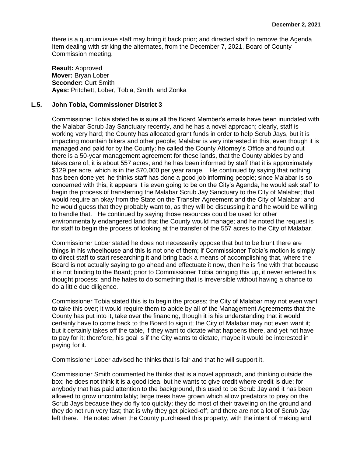there is a quorum issue staff may bring it back prior; and directed staff to remove the Agenda Item dealing with striking the alternates, from the December 7, 2021, Board of County Commission meeting.

**Result:** Approved **Mover:** Bryan Lober **Seconder:** Curt Smith **Ayes:** Pritchett, Lober, Tobia, Smith, and Zonka

#### **L.5. John Tobia, Commissioner District 3**

Commissioner Tobia stated he is sure all the Board Member's emails have been inundated with the Malabar Scrub Jay Sanctuary recently, and he has a novel approach; clearly, staff is working very hard; the County has allocated grant funds in order to help Scrub Jays, but it is impacting mountain bikers and other people; Malabar is very interested in this, even though it is managed and paid for by the County; he called the County Attorney's Office and found out there is a 50-year management agreement for these lands, that the County abides by and takes care of; it is about 557 acres; and he has been informed by staff that it is approximately \$129 per acre, which is in the \$70,000 per year range. He continued by saying that nothing has been done yet; he thinks staff has done a good job informing people; since Malabar is so concerned with this, it appears it is even going to be on the City's Agenda, he would ask staff to begin the process of transferring the Malabar Scrub Jay Sanctuary to the City of Malabar; that would require an okay from the State on the Transfer Agreement and the City of Malabar; and he would guess that they probably want to, as they will be discussing it and he would be willing to handle that. He continued by saying those resources could be used for other environmentally endangered land that the County would manage; and he noted the request is for staff to begin the process of looking at the transfer of the 557 acres to the City of Malabar.

Commissioner Lober stated he does not necessarily oppose that but to be blunt there are things in his wheelhouse and this is not one of them; if Commissioner Tobia's motion is simply to direct staff to start researching it and bring back a means of accomplishing that, where the Board is not actually saying to go ahead and effectuate it now, then he is fine with that because it is not binding to the Board; prior to Commissioner Tobia bringing this up, it never entered his thought process; and he hates to do something that is irreversible without having a chance to do a little due diligence.

Commissioner Tobia stated this is to begin the process; the City of Malabar may not even want to take this over; it would require them to abide by all of the Management Agreements that the County has put into it, take over the financing, though it is his understanding that it would certainly have to come back to the Board to sign it; the City of Malabar may not even want it; but it certainly takes off the table, if they want to dictate what happens there, and yet not have to pay for it; therefore, his goal is if the City wants to dictate, maybe it would be interested in paying for it.

Commissioner Lober advised he thinks that is fair and that he will support it.

Commissioner Smith commented he thinks that is a novel approach, and thinking outside the box; he does not think it is a good idea, but he wants to give credit where credit is due; for anybody that has paid attention to the background, this used to be Scrub Jay and it has been allowed to grow uncontrollably; large trees have grown which allow predators to prey on the Scrub Jays because they do fly too quickly; they do most of their traveling on the ground and they do not run very fast; that is why they get picked-off; and there are not a lot of Scrub Jay left there. He noted when the County purchased this property, with the intent of making and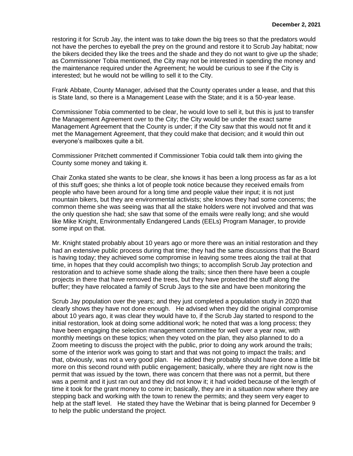restoring it for Scrub Jay, the intent was to take down the big trees so that the predators would not have the perches to eyeball the prey on the ground and restore it to Scrub Jay habitat; now the bikers decided they like the trees and the shade and they do not want to give up the shade; as Commissioner Tobia mentioned, the City may not be interested in spending the money and the maintenance required under the Agreement; he would be curious to see if the City is interested; but he would not be willing to sell it to the City.

Frank Abbate, County Manager, advised that the County operates under a lease, and that this is State land, so there is a Management Lease with the State; and it is a 50-year lease.

Commissioner Tobia commented to be clear, he would love to sell it, but this is just to transfer the Management Agreement over to the City; the City would be under the exact same Management Agreement that the County is under; if the City saw that this would not fit and it met the Management Agreement, that they could make that decision; and it would thin out everyone's mailboxes quite a bit.

Commissioner Pritchett commented if Commissioner Tobia could talk them into giving the County some money and taking it.

Chair Zonka stated she wants to be clear, she knows it has been a long process as far as a lot of this stuff goes; she thinks a lot of people took notice because they received emails from people who have been around for a long time and people value their input; it is not just mountain bikers, but they are environmental activists; she knows they had some concerns; the common theme she was seeing was that all the stake holders were not involved and that was the only question she had; she saw that some of the emails were really long; and she would like Mike Knight, Environmentally Endangered Lands (EELs) Program Manager, to provide some input on that.

Mr. Knight stated probably about 10 years ago or more there was an initial restoration and they had an extensive public process during that time; they had the same discussions that the Board is having today; they achieved some compromise in leaving some trees along the trail at that time, in hopes that they could accomplish two things; to accomplish Scrub Jay protection and restoration and to achieve some shade along the trails; since then there have been a couple projects in there that have removed the trees, but they have protected the stuff along the buffer; they have relocated a family of Scrub Jays to the site and have been monitoring the

Scrub Jay population over the years; and they just completed a population study in 2020 that clearly shows they have not done enough. He advised when they did the original compromise about 10 years ago, it was clear they would have to, if the Scrub Jay started to respond to the initial restoration, look at doing some additional work; he noted that was a long process; they have been engaging the selection management committee for well over a year now, with monthly meetings on these topics; when they voted on the plan, they also planned to do a Zoom meeting to discuss the project with the public, prior to doing any work around the trails; some of the interior work was going to start and that was not going to impact the trails; and that, obviously, was not a very good plan. He added they probably should have done a little bit more on this second round with public engagement; basically, where they are right now is the permit that was issued by the town, there was concern that there was not a permit, but there was a permit and it just ran out and they did not know it; it had voided because of the length of time it took for the grant money to come in; basically, they are in a situation now where they are stepping back and working with the town to renew the permits; and they seem very eager to help at the staff level. He stated they have the Webinar that is being planned for December 9 to help the public understand the project.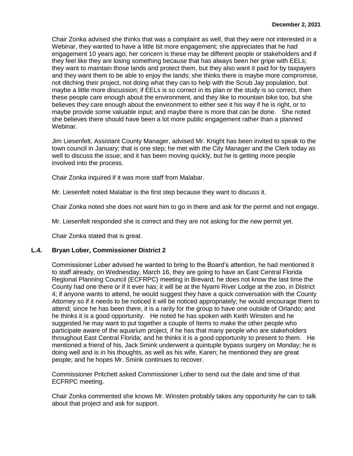Chair Zonka advised she thinks that was a complaint as well, that they were not interested in a Webinar, they wanted to have a little bit more engagement; she appreciates that he had engagement 10 years ago; her concern is these may be different people or stakeholders and if they feel like they are losing something because that has always been her gripe with EELs; they want to maintain those lands and protect them, but they also want it paid for by taxpayers and they want them to be able to enjoy the lands; she thinks there is maybe more compromise, not ditching their project, not doing what they can to help with the Scrub Jay population, but maybe a little more discussion; if EELs is so correct in its plan or the study is so correct, then these people care enough about the environment, and they like to mountain bike too, but she believes they care enough about the environment to either see it his way if he is right, or to maybe provide some valuable input; and maybe there is more that can be done. She noted she believes there should have been a lot more public engagement rather than a planned Webinar.

Jim Liesenfelt, Assistant County Manager, advised Mr. Knight has been invited to speak to the town council in January; that is one step; he met with the City Manager and the Clerk today as well to discuss the issue; and it has been moving quickly, but he is getting more people involved into the process.

Chair Zonka inquired if it was more staff from Malabar.

Mr. Liesenfelt noted Malabar is the first step because they want to discuss it.

Chair Zonka noted she does not want him to go in there and ask for the permit and not engage.

Mr. Liesenfelt responded she is correct and they are not asking for the new permit yet.

Chair Zonka stated that is great.

# **L.4. Bryan Lober, Commissioner District 2**

Commissioner Lober advised he wanted to bring to the Board's attention, he had mentioned it to staff already, on Wednesday, March 16, they are going to have an East Central Florida Regional Planning Council (ECFRPC) meeting in Brevard; he does not know the last time the County had one there or if it ever has; it will be at the Nyami River Lodge at the zoo, in District 4; if anyone wants to attend, he would suggest they have a quick conversation with the County Attorney so if it needs to be noticed it will be noticed appropriately; he would encourage them to attend; since he has been there, it is a rarity for the group to have one outside of Orlando; and he thinks it is a good opportunity. He noted he has spoken with Keith Winsten and he suggested he may want to put together a couple of Items to make the other people who participate aware of the aquarium project, if he has that many people who are stakeholders throughout East Central Florida; and he thinks it is a good opportunity to present to them. He mentioned a friend of his, Jack Smink underwent a quintuple bypass surgery on Monday; he is doing well and is in his thoughts, as well as his wife, Karen; he mentioned they are great people; and he hopes Mr. Smink continues to recover.

Commissioner Pritchett asked Commissioner Lober to send out the date and time of that ECFRPC meeting.

Chair Zonka commented she knows Mr. Winsten probably takes any opportunity he can to talk about that project and ask for support.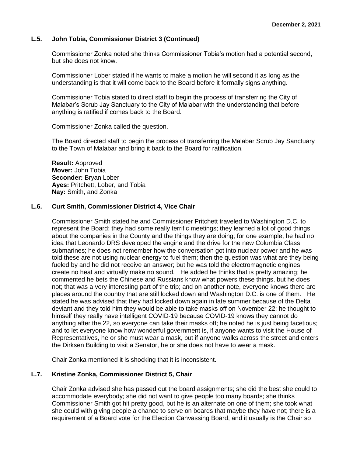# **L.5. John Tobia, Commissioner District 3 (Continued)**

Commissioner Zonka noted she thinks Commissioner Tobia's motion had a potential second, but she does not know.

Commissioner Lober stated if he wants to make a motion he will second it as long as the understanding is that it will come back to the Board before it formally signs anything.

Commissioner Tobia stated to direct staff to begin the process of transferring the City of Malabar's Scrub Jay Sanctuary to the City of Malabar with the understanding that before anything is ratified if comes back to the Board.

Commissioner Zonka called the question.

The Board directed staff to begin the process of transferring the Malabar Scrub Jay Sanctuary to the Town of Malabar and bring it back to the Board for ratification.

**Result:** Approved **Mover:** John Tobia **Seconder:** Bryan Lober **Ayes:** Pritchett, Lober, and Tobia **Nay:** Smith, and Zonka

#### **L.6. Curt Smith, Commissioner District 4, Vice Chair**

Commissioner Smith stated he and Commissioner Pritchett traveled to Washington D.C. to represent the Board; they had some really terrific meetings; they learned a lot of good things about the companies in the County and the things they are doing; for one example, he had no idea that Leonardo DRS developed the engine and the drive for the new Columbia Class submarines; he does not remember how the conversation got into nuclear power and he was told these are not using nuclear energy to fuel them; then the question was what are they being fueled by and he did not receive an answer; but he was told the electromagnetic engines create no heat and virtually make no sound. He added he thinks that is pretty amazing; he commented he bets the Chinese and Russians know what powers these things, but he does not; that was a very interesting part of the trip; and on another note, everyone knows there are places around the country that are still locked down and Washington D.C. is one of them. He stated he was advised that they had locked down again in late summer because of the Delta deviant and they told him they would be able to take masks off on November 22; he thought to himself they really have intelligent COVID-19 because COVID-19 knows they cannot do anything after the 22, so everyone can take their masks off; he noted he is just being facetious; and to let everyone know how wonderful government is, if anyone wants to visit the House of Representatives, he or she must wear a mask, but if anyone walks across the street and enters the Dirksen Building to visit a Senator, he or she does not have to wear a mask.

Chair Zonka mentioned it is shocking that it is inconsistent.

# **L.7. Kristine Zonka, Commissioner District 5, Chair**

Chair Zonka advised she has passed out the board assignments; she did the best she could to accommodate everybody; she did not want to give people too many boards; she thinks Commissioner Smith got hit pretty good, but he is an alternate on one of them; she took what she could with giving people a chance to serve on boards that maybe they have not; there is a requirement of a Board vote for the Election Canvassing Board, and it usually is the Chair so